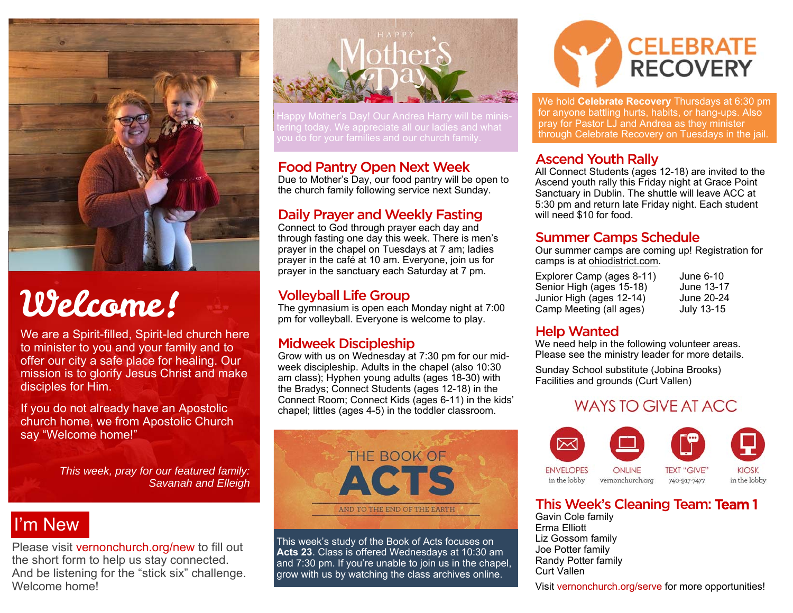

# Welcome!

We are a Spirit-filled, Spirit-led church here to minister to you and your family and to offer our city a safe place for healing. Our mission is to glorify Jesus Christ and make disciples for Him.

If you do not already have an Apostolic church home, we from Apostolic Church say "Welcome home!"

> *This week, pray for our featured family: Savanah and Elleigh*

## I'm New

Please visit vernonchurch.org/new to fill out the short form to help us stay connected. And be listening for the "stick six" challenge. Welcome home!



#### Food Pantry Open Next Week

Due to Mother's Day, our food pantry will be open to the church family following service next Sunday.

#### Daily Prayer and Weekly Fasting

Connect to God through prayer each day and through fasting one day this week. There is men's prayer in the chapel on Tuesdays at 7 am; ladies prayer in the café at 10 am. Everyone, join us for prayer in the sanctuary each Saturday at 7 pm.

#### Volleyball Life Group

The gymnasium is open each Monday night at 7:00 pm for volleyball. Everyone is welcome to play.

#### Midweek Discipleship

Grow with us on Wednesday at 7:30 pm for our midweek discipleship. Adults in the chapel (also 10:30 am class); Hyphen young adults (ages 18-30) with the Bradys; Connect Students (ages 12-18) in the Connect Room; Connect Kids (ages 6-11) in the kids' chapel; littles (ages 4-5) in the toddler classroom.



This week's study of the Book of Acts focuses on **Acts 23**. Class is offered Wednesdays at 10:30 am and 7:30 pm. If you're unable to join us in the chapel, grow with us by watching the class archives online.



We hold **Celebrate Recovery** Thursdays at 6:30 pm for anyone battling hurts, habits, or hang-ups. Also pray for Pastor LJ and Andrea as they minister through Celebrate Recovery on Tuesdays in the jail.

#### Ascend Youth Rally

All Connect Students (ages 12-18) are invited to the Ascend youth rally this Friday night at Grace Point Sanctuary in Dublin. The shuttle will leave ACC at 5:30 pm and return late Friday night. Each student will need \$10 for food.

#### Summer Camps Schedule

Our summer camps are coming up! Registration for camps is at ohiodistrict.com.

Explorer Camp (ages 8-11) June 6-10<br>Senior High (ages 15-18) June 13-17 Senior High (ages 15-18) Junior High (ages 12-14) June 20-24 Camp Meeting (all ages) July 13-15

#### Help Wanted

We need help in the following volunteer areas. Please see the ministry leader for more details.

Sunday School substitute (Jobina Brooks) Facilities and grounds (Curt Vallen)

### **WAYS TO GIVE AT ACC**



#### This Week's Cleaning Team: Team 1

Gavin Cole family Erma Elliott Liz Gossom family Joe Potter family Randy Potter family Curt Vallen

Visit vernonchurch.org/serve for more opportunities!